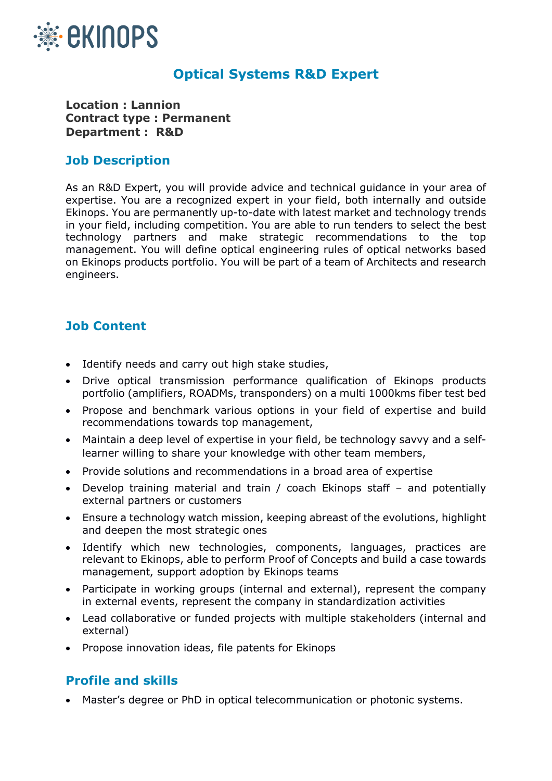

## **Optical Systems R&D Expert**

**Location : Lannion Contract type : Permanent Department : R&D**

## **Job Description**

As an R&D Expert, you will provide advice and technical guidance in your area of expertise. You are a recognized expert in your field, both internally and outside Ekinops. You are permanently up-to-date with latest market and technology trends in your field, including competition. You are able to run tenders to select the best technology partners and make strategic recommendations to the top management. You will define optical engineering rules of optical networks based on Ekinops products portfolio. You will be part of a team of Architects and research engineers.

## **Job Content**

- Identify needs and carry out high stake studies,
- Drive optical transmission performance qualification of Ekinops products portfolio (amplifiers, ROADMs, transponders) on a multi 1000kms fiber test bed
- Propose and benchmark various options in your field of expertise and build recommendations towards top management,
- Maintain a deep level of expertise in your field, be technology savvy and a selflearner willing to share your knowledge with other team members,
- Provide solutions and recommendations in a broad area of expertise
- Develop training material and train / coach Ekinops staff and potentially external partners or customers
- Ensure a technology watch mission, keeping abreast of the evolutions, highlight and deepen the most strategic ones
- Identify which new technologies, components, languages, practices are relevant to Ekinops, able to perform Proof of Concepts and build a case towards management, support adoption by Ekinops teams
- Participate in working groups (internal and external), represent the company in external events, represent the company in standardization activities
- Lead collaborative or funded projects with multiple stakeholders (internal and external)
- Propose innovation ideas, file patents for Ekinops

## **Profile and skills**

• Master's degree or PhD in optical telecommunication or photonic systems.